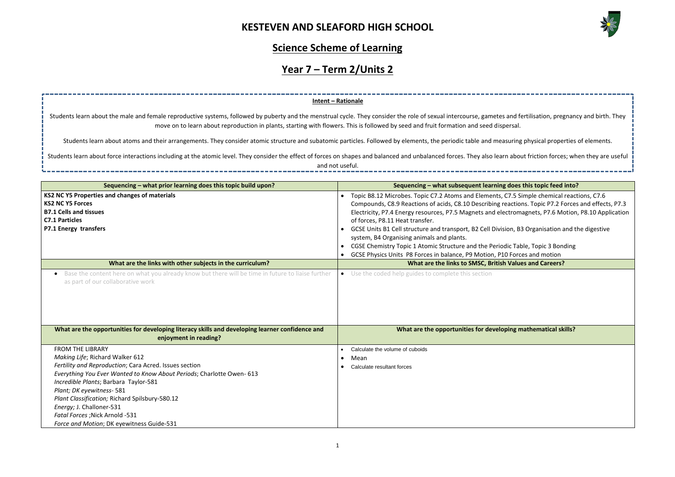

| nd fertilisation, pregnancy and birth. They<br>rsal.                                                                                                                    |
|-------------------------------------------------------------------------------------------------------------------------------------------------------------------------|
| iring physical properties of elements.                                                                                                                                  |
| about friction forces; when they are useful                                                                                                                             |
|                                                                                                                                                                         |
| loes this topic feed into?                                                                                                                                              |
| '.5 Simple chemical reactions, C7.6<br>ctions. Topic P7.2 Forces and effects, P7.3<br>romagnets, P7.6 Motion, P8.10 Application<br>n, B3 Organisation and the digestive |
| <b>Table, Topic 3 Bonding</b><br>Forces and motion                                                                                                                      |
| <b>/alues and Careers?</b>                                                                                                                                              |
|                                                                                                                                                                         |
| ng mathematical skills?                                                                                                                                                 |
|                                                                                                                                                                         |

### **Science Scheme of Learning**

# **Year 7 – Term 2/Units 2**

| Sequencing - what prior learning does this topic build upon?                                                                                                                                                                                                                                                                                                                                                                      | Sequencing – what subsequent learning does this topic feed into?                                                                                                                                                                                                                                                                                                                                                                                                                                                                                                                                                                                                                                                      |
|-----------------------------------------------------------------------------------------------------------------------------------------------------------------------------------------------------------------------------------------------------------------------------------------------------------------------------------------------------------------------------------------------------------------------------------|-----------------------------------------------------------------------------------------------------------------------------------------------------------------------------------------------------------------------------------------------------------------------------------------------------------------------------------------------------------------------------------------------------------------------------------------------------------------------------------------------------------------------------------------------------------------------------------------------------------------------------------------------------------------------------------------------------------------------|
| KS2 NC Y5 Properties and changes of materials<br><b>KS2 NC Y5 Forces</b><br><b>B7.1 Cells and tissues</b><br><b>C7.1 Particles</b><br>P7.1 Energy transfers<br>What are the links with other subjects in the curriculum?                                                                                                                                                                                                          | Topic B8.12 Microbes. Topic C7.2 Atoms and Elements, C7.5 Simple chemical reactions, C7.6<br>Compounds, C8.9 Reactions of acids, C8.10 Describing reactions. Topic P7.2 Forces and effects, P7.3<br>Electricity, P7.4 Energy resources, P7.5 Magnets and electromagnets, P7.6 Motion, P8.10 Application<br>of forces, P8.11 Heat transfer.<br>GCSE Units B1 Cell structure and transport, B2 Cell Division, B3 Organisation and the digestive<br>system, B4 Organising animals and plants.<br>CGSE Chemistry Topic 1 Atomic Structure and the Periodic Table, Topic 3 Bonding<br>GCSE Physics Units P8 Forces in balance, P9 Motion, P10 Forces and motion<br>What are the links to SMSC, British Values and Careers? |
| Base the content here on what you already know but there will be time in future to liaise further<br>$\bullet$<br>as part of our collaborative work<br>What are the opportunities for developing literacy skills and developing learner confidence and                                                                                                                                                                            | • Use the coded help guides to complete this section<br>What are the opportunities for developing mathematical skills?                                                                                                                                                                                                                                                                                                                                                                                                                                                                                                                                                                                                |
| enjoyment in reading?                                                                                                                                                                                                                                                                                                                                                                                                             |                                                                                                                                                                                                                                                                                                                                                                                                                                                                                                                                                                                                                                                                                                                       |
| <b>FROM THE LIBRARY</b><br>Making Life; Richard Walker 612<br>Fertility and Reproduction; Cara Acred. Issues section<br>Everything You Ever Wanted to Know About Periods; Charlotte Owen- 613<br>Incredible Plants; Barbara Taylor-581<br>Plant; DK eyewitness- 581<br>Plant Classification; Richard Spilsbury-580.12<br>Energy; J. Challoner-531<br>Fatal Forces ; Nick Arnold -531<br>Force and Motion; DK eyewitness Guide-531 | Calculate the volume of cuboids<br>Mean<br>$\bullet$<br>Calculate resultant forces                                                                                                                                                                                                                                                                                                                                                                                                                                                                                                                                                                                                                                    |

Students learn about force interactions including at the atomic level. They consider the effect of forces on shapes and balanced and unbalanced forces. They also learn and not useful.

### **Intent – Rationale**

Students learn about the male and female reproductive systems, followed by puberty and the menstrual cycle. They consider the role of sexual intercourse, gametes an move on to learn about reproduction in plants, starting with flowers. This is followed by seed and fruit formation and seed disper

Students learn about atoms and their arrangements. They consider atomic structure and subatomic particles. Followed by elements, the periodic table and measuring physical properties of elements and properties of elements.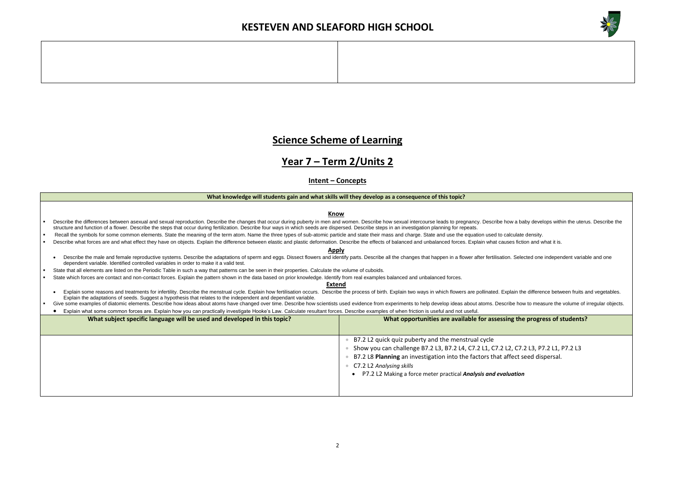

### **g** the progress of students?

### **Science Scheme of Learning**

### **Year 7 – Term 2/Units 2**

### **Intent – Concepts**

#### **What knowledge will students gain and what skills will they develop as a consequence of this topic?**

#### **Know**

- Describe the differences between asexual and sexual reproduction. Describe the changes that occur during puberty in men and women. Describe how sexual intercourse leads to pregnancy. Describe how a baby develops within the structure and function of a flower. Describe the steps that occur during fertilization. Describe four ways in which seeds are dispersed. Describe steps in an investigation planning for repeats.
- Recall the symbols for some common elements. State the meaning of the term atom. Name the three types of sub-atomic particle and state their mass and charge. State and use the equation used to calculate density.
- Describe what forces are and what effect they have on objects. Explain the difference between elastic and plastic deformation. Describe the effects of balanced and unbalanced forces. Explain what causes fiction and what it

#### **Apply**

- Describe the male and female reproductive systems. Describe the adaptations of sperm and eggs. Dissect flowers and identify parts. Describe all the changes that happen in a flower after fertilisation. Selected one independ dependent variable. Identified controlled variables in order to make it a valid test.
- State that all elements are listed on the Periodic Table in such a way that patterns can be seen in their properties. Calculate the volume of cuboids.
- State which forces are contact and non-contact forces. Explain the pattern shown in the data based on prior knowledge. Identify from real examples balanced and unbalanced forces.

- Explain some reasons and treatments for infertility. Describe the menstrual cycle. Explain how fertilisation occurs. Describe the process of birth. Explain two ways in which flowers are pollinated. Explain the difference b Explain the adaptations of seeds. Suggest a hypothesis that relates to the independent and dependant variable.
- Give some examples of diatomic elements. Describe how ideas about atoms have changed over time. Describe how scientists used evidence from experiments to help develop ideas about atoms. Describe how to measure the volume o
- Explain what some common forces are. Explain how you can practically investigate Hooke's Law. Calculate resultant forces. Describe examples of when friction is useful and not useful.

• Show you can challenge B7.2 L3, B7.2 L4, C7.2 L1, C7.2 L2, C7.2 L3, P7.2 L1, P7.2 L3 fect seed dispersal.

#### **Extend**

| What subject specific language will be used and developed in this topic? | What opportunities are available for assessing the                                                                                                                                                                                                                                     |
|--------------------------------------------------------------------------|----------------------------------------------------------------------------------------------------------------------------------------------------------------------------------------------------------------------------------------------------------------------------------------|
|                                                                          | B7.2 L2 quick quiz puberty and the menstrual cycle<br>Show you can challenge B7.2 L3, B7.2 L4, C7.2 L1, C7.2 L2, C7.<br>B7.2 L8 Planning an investigation into the factors that affect s<br>C7.2 L2 Analysing skills<br>P7.2 L2 Making a force meter practical Analysis and evaluation |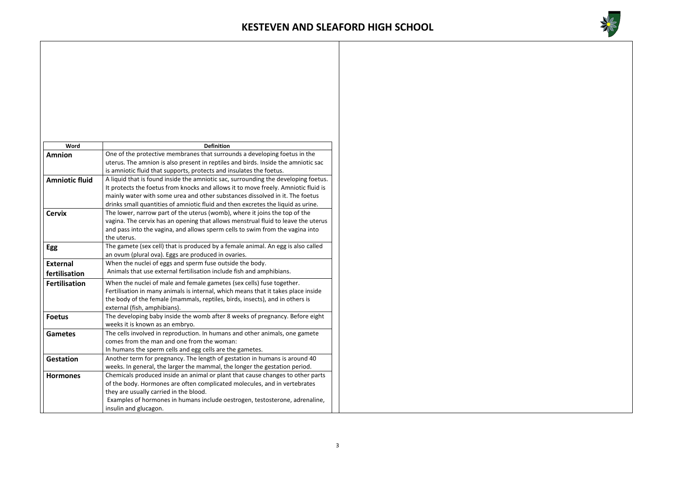

| Word                  | <b>Definition</b>                                                                  |  |  |
|-----------------------|------------------------------------------------------------------------------------|--|--|
| <b>Amnion</b>         | One of the protective membranes that surrounds a developing foetus in the          |  |  |
|                       | uterus. The amnion is also present in reptiles and birds. Inside the amniotic sac  |  |  |
|                       | is amniotic fluid that supports, protects and insulates the foetus.                |  |  |
| <b>Amniotic fluid</b> | A liquid that is found inside the amniotic sac, surrounding the developing foetus. |  |  |
|                       | It protects the foetus from knocks and allows it to move freely. Amniotic fluid is |  |  |
|                       | mainly water with some urea and other substances dissolved in it. The foetus       |  |  |
|                       | drinks small quantities of amniotic fluid and then excretes the liquid as urine.   |  |  |
| <b>Cervix</b>         | The lower, narrow part of the uterus (womb), where it joins the top of the         |  |  |
|                       | vagina. The cervix has an opening that allows menstrual fluid to leave the uterus  |  |  |
|                       | and pass into the vagina, and allows sperm cells to swim from the vagina into      |  |  |
|                       | the uterus.                                                                        |  |  |
| <b>Egg</b>            | The gamete (sex cell) that is produced by a female animal. An egg is also called   |  |  |
|                       | an ovum (plural ova). Eggs are produced in ovaries.                                |  |  |
| <b>External</b>       | When the nuclei of eggs and sperm fuse outside the body.                           |  |  |
| fertilisation         | Animals that use external fertilisation include fish and amphibians.               |  |  |
| <b>Fertilisation</b>  | When the nuclei of male and female gametes (sex cells) fuse together.              |  |  |
|                       | Fertilisation in many animals is internal, which means that it takes place inside  |  |  |
|                       | the body of the female (mammals, reptiles, birds, insects), and in others is       |  |  |
|                       | external (fish, amphibians).                                                       |  |  |
| <b>Foetus</b>         | The developing baby inside the womb after 8 weeks of pregnancy. Before eight       |  |  |
|                       | weeks it is known as an embryo.                                                    |  |  |
| <b>Gametes</b>        | The cells involved in reproduction. In humans and other animals, one gamete        |  |  |
|                       | comes from the man and one from the woman:                                         |  |  |
|                       | In humans the sperm cells and egg cells are the gametes.                           |  |  |
| <b>Gestation</b>      | Another term for pregnancy. The length of gestation in humans is around 40         |  |  |
|                       | weeks. In general, the larger the mammal, the longer the gestation period.         |  |  |
| <b>Hormones</b>       | Chemicals produced inside an animal or plant that cause changes to other parts     |  |  |
|                       | of the body. Hormones are often complicated molecules, and in vertebrates          |  |  |
|                       | they are usually carried in the blood.                                             |  |  |
|                       | Examples of hormones in humans include oestrogen, testosterone, adrenaline,        |  |  |
|                       | insulin and glucagon.                                                              |  |  |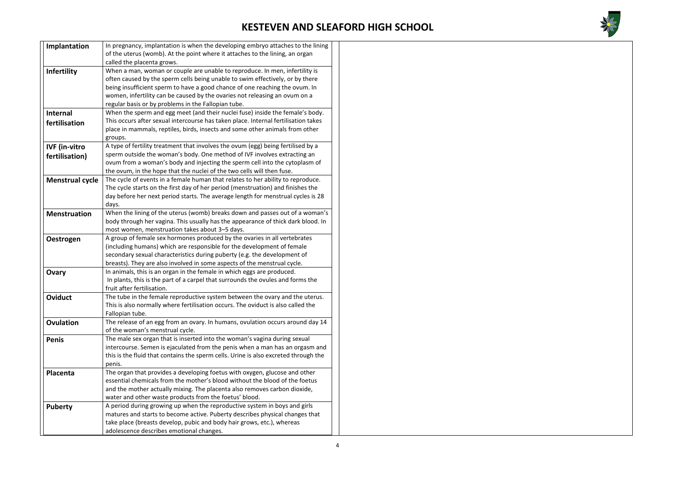

| Implantation           | In pregnancy, implantation is when the developing embryo attaches to the lining     |
|------------------------|-------------------------------------------------------------------------------------|
|                        | of the uterus (womb). At the point where it attaches to the lining, an organ        |
|                        | called the placenta grows.                                                          |
| <b>Infertility</b>     | When a man, woman or couple are unable to reproduce. In men, infertility is         |
|                        | often caused by the sperm cells being unable to swim effectively, or by there       |
|                        | being insufficient sperm to have a good chance of one reaching the ovum. In         |
|                        | women, infertility can be caused by the ovaries not releasing an ovum on a          |
|                        | regular basis or by problems in the Fallopian tube.                                 |
| <b>Internal</b>        | When the sperm and egg meet (and their nuclei fuse) inside the female's body.       |
|                        | This occurs after sexual intercourse has taken place. Internal fertilisation takes  |
| fertilisation          | place in mammals, reptiles, birds, insects and some other animals from other        |
|                        |                                                                                     |
|                        | groups.                                                                             |
| <b>IVF</b> (in-vitro   | A type of fertility treatment that involves the ovum (egg) being fertilised by a    |
| fertilisation)         | sperm outside the woman's body. One method of IVF involves extracting an            |
|                        | ovum from a woman's body and injecting the sperm cell into the cytoplasm of         |
|                        | the ovum, in the hope that the nuclei of the two cells will then fuse.              |
| <b>Menstrual cycle</b> | The cycle of events in a female human that relates to her ability to reproduce.     |
|                        | The cycle starts on the first day of her period (menstruation) and finishes the     |
|                        | day before her next period starts. The average length for menstrual cycles is 28    |
|                        | days.                                                                               |
| <b>Menstruation</b>    | When the lining of the uterus (womb) breaks down and passes out of a woman's        |
|                        | body through her vagina. This usually has the appearance of thick dark blood. In    |
|                        | most women, menstruation takes about 3-5 days.                                      |
| Oestrogen              | A group of female sex hormones produced by the ovaries in all vertebrates           |
|                        | (including humans) which are responsible for the development of female              |
|                        | secondary sexual characteristics during puberty (e.g. the development of            |
|                        | breasts). They are also involved in some aspects of the menstrual cycle.            |
| Ovary                  | In animals, this is an organ in the female in which eggs are produced.              |
|                        | In plants, this is the part of a carpel that surrounds the ovules and forms the     |
|                        | fruit after fertilisation.                                                          |
| <b>Oviduct</b>         | The tube in the female reproductive system between the ovary and the uterus.        |
|                        | This is also normally where fertilisation occurs. The oviduct is also called the    |
|                        | Fallopian tube.                                                                     |
| <b>Ovulation</b>       | The release of an egg from an ovary. In humans, ovulation occurs around day 14      |
|                        | of the woman's menstrual cycle.                                                     |
| <b>Penis</b>           | The male sex organ that is inserted into the woman's vagina during sexual           |
|                        | intercourse. Semen is ejaculated from the penis when a man has an orgasm and        |
|                        | this is the fluid that contains the sperm cells. Urine is also excreted through the |
|                        | penis.                                                                              |
| Placenta               | The organ that provides a developing foetus with oxygen, glucose and other          |
|                        | essential chemicals from the mother's blood without the blood of the foetus         |
|                        | and the mother actually mixing. The placenta also removes carbon dioxide,           |
|                        | water and other waste products from the foetus' blood.                              |
|                        | A period during growing up when the reproductive system in boys and girls           |
| <b>Puberty</b>         | matures and starts to become active. Puberty describes physical changes that        |
|                        |                                                                                     |
|                        | take place (breasts develop, pubic and body hair grows, etc.), whereas              |
|                        | adolescence describes emotional changes.                                            |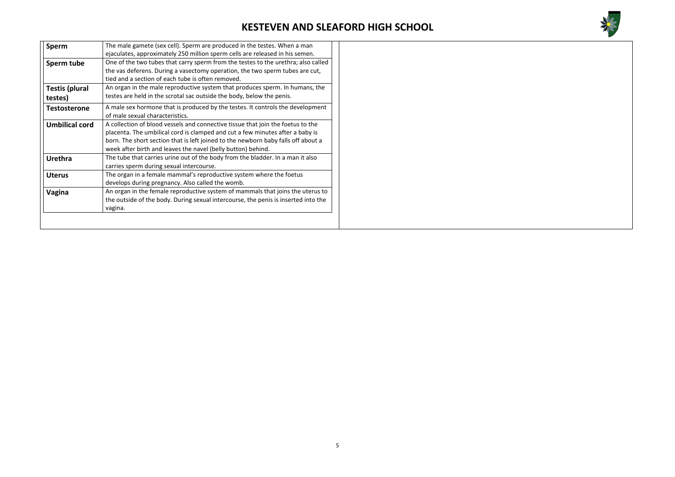

| <b>Sperm</b>          | The male gamete (sex cell). Sperm are produced in the testes. When a man           |
|-----------------------|------------------------------------------------------------------------------------|
|                       | ejaculates, approximately 250 million sperm cells are released in his semen.       |
| Sperm tube            | One of the two tubes that carry sperm from the testes to the urethra; also called  |
|                       | the vas deferens. During a vasectomy operation, the two sperm tubes are cut,       |
|                       | tied and a section of each tube is often removed.                                  |
| <b>Testis (plural</b> | An organ in the male reproductive system that produces sperm. In humans, the       |
| testes)               | testes are held in the scrotal sac outside the body, below the penis.              |
| <b>Testosterone</b>   | A male sex hormone that is produced by the testes. It controls the development     |
|                       | of male sexual characteristics.                                                    |
| <b>Umbilical cord</b> | A collection of blood vessels and connective tissue that join the foetus to the    |
|                       | placenta. The umbilical cord is clamped and cut a few minutes after a baby is      |
|                       | born. The short section that is left joined to the newborn baby falls off about a  |
|                       | week after birth and leaves the navel (belly button) behind.                       |
| <b>Urethra</b>        | The tube that carries urine out of the body from the bladder. In a man it also     |
|                       | carries sperm during sexual intercourse.                                           |
| <b>Uterus</b>         | The organ in a female mammal's reproductive system where the foetus                |
|                       | develops during pregnancy. Also called the womb.                                   |
| Vagina                | An organ in the female reproductive system of mammals that joins the uterus to     |
|                       | the outside of the body. During sexual intercourse, the penis is inserted into the |
|                       | vagina.                                                                            |
|                       |                                                                                    |
|                       |                                                                                    |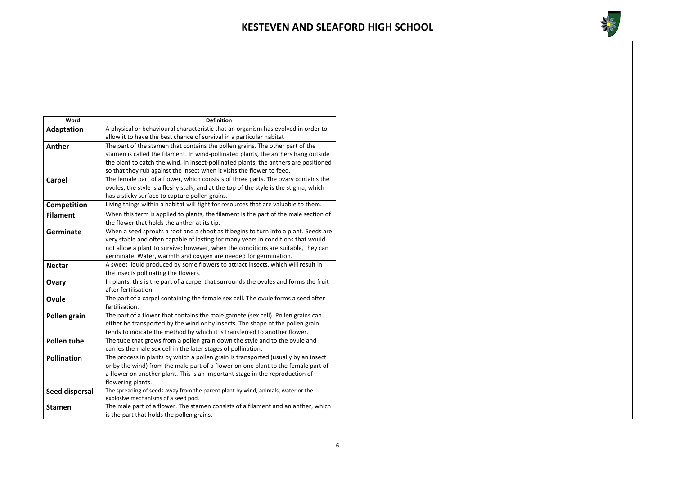

| Word                  | <b>Definition</b>                                                                                                       |
|-----------------------|-------------------------------------------------------------------------------------------------------------------------|
| <b>Adaptation</b>     | A physical or behavioural characteristic that an organism has evolved in order to                                       |
|                       | allow it to have the best chance of survival in a particular habitat                                                    |
| Anther                | The part of the stamen that contains the pollen grains. The other part of the                                           |
|                       | stamen is called the filament. In wind-pollinated plants, the anthers hang outside                                      |
|                       | the plant to catch the wind. In insect-pollinated plants, the anthers are positioned                                    |
|                       | so that they rub against the insect when it visits the flower to feed.                                                  |
| <b>Carpel</b>         | The female part of a flower, which consists of three parts. The ovary contains the                                      |
|                       | ovules; the style is a fleshy stalk; and at the top of the style is the stigma, which                                   |
|                       | has a sticky surface to capture pollen grains.                                                                          |
| Competition           | Living things within a habitat will fight for resources that are valuable to them.                                      |
| <b>Filament</b>       | When this term is applied to plants, the filament is the part of the male section of                                    |
|                       | the flower that holds the anther at its tip.                                                                            |
| <b>Germinate</b>      | When a seed sprouts a root and a shoot as it begins to turn into a plant. Seeds are                                     |
|                       | very stable and often capable of lasting for many years in conditions that would                                        |
|                       | not allow a plant to survive; however, when the conditions are suitable, they can                                       |
|                       | germinate. Water, warmth and oxygen are needed for germination.                                                         |
| <b>Nectar</b>         | A sweet liquid produced by some flowers to attract insects, which will result in                                        |
|                       | the insects pollinating the flowers.                                                                                    |
| Ovary                 | In plants, this is the part of a carpel that surrounds the ovules and forms the fruit                                   |
|                       | after fertilisation.                                                                                                    |
| Ovule                 | The part of a carpel containing the female sex cell. The ovule forms a seed after                                       |
|                       | fertilisation.                                                                                                          |
| Pollen grain          | The part of a flower that contains the male gamete (sex cell). Pollen grains can                                        |
|                       | either be transported by the wind or by insects. The shape of the pollen grain                                          |
|                       | tends to indicate the method by which it is transferred to another flower.                                              |
| Pollen tube           | The tube that grows from a pollen grain down the style and to the ovule and                                             |
|                       | carries the male sex cell in the later stages of pollination.                                                           |
| <b>Pollination</b>    | The process in plants by which a pollen grain is transported (usually by an insect                                      |
|                       | or by the wind) from the male part of a flower on one plant to the female part of                                       |
|                       | a flower on another plant. This is an important stage in the reproduction of                                            |
|                       | flowering plants.                                                                                                       |
| <b>Seed dispersal</b> | The spreading of seeds away from the parent plant by wind, animals, water or the<br>explosive mechanisms of a seed pod. |
| <b>Stamen</b>         | The male part of a flower. The stamen consists of a filament and an anther, which                                       |
|                       | is the part that holds the pollen grains.                                                                               |
|                       |                                                                                                                         |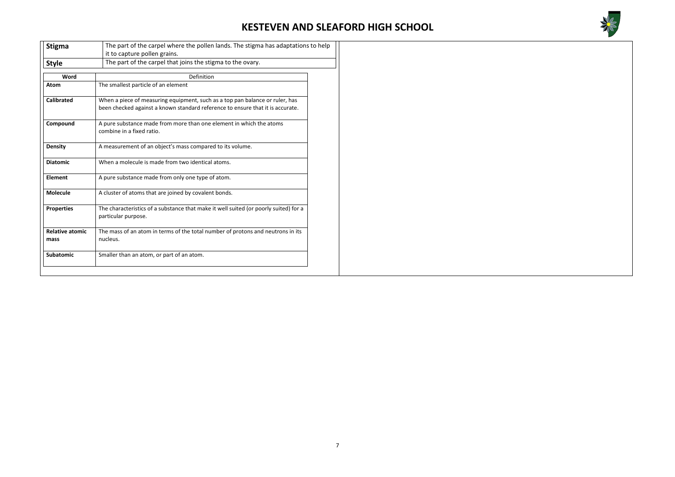

| <b>Stigma</b>                  | The part of the carpel where the pollen lands. The stigma has adaptations to help                                                                              |  |  |
|--------------------------------|----------------------------------------------------------------------------------------------------------------------------------------------------------------|--|--|
|                                | it to capture pollen grains.                                                                                                                                   |  |  |
| <b>Style</b>                   | The part of the carpel that joins the stigma to the ovary.                                                                                                     |  |  |
| Word                           | Definition                                                                                                                                                     |  |  |
| <b>Atom</b>                    | The smallest particle of an element                                                                                                                            |  |  |
| <b>Calibrated</b>              | When a piece of measuring equipment, such as a top pan balance or ruler, has<br>been checked against a known standard reference to ensure that it is accurate. |  |  |
| Compound                       | A pure substance made from more than one element in which the atoms<br>combine in a fixed ratio.                                                               |  |  |
| <b>Density</b>                 | A measurement of an object's mass compared to its volume.                                                                                                      |  |  |
| <b>Diatomic</b>                | When a molecule is made from two identical atoms.                                                                                                              |  |  |
| <b>Element</b>                 | A pure substance made from only one type of atom.                                                                                                              |  |  |
| <b>Molecule</b>                | A cluster of atoms that are joined by covalent bonds.                                                                                                          |  |  |
| <b>Properties</b>              | The characteristics of a substance that make it well suited (or poorly suited) for a<br>particular purpose.                                                    |  |  |
| <b>Relative atomic</b><br>mass | The mass of an atom in terms of the total number of protons and neutrons in its<br>nucleus.                                                                    |  |  |
| <b>Subatomic</b>               | Smaller than an atom, or part of an atom.                                                                                                                      |  |  |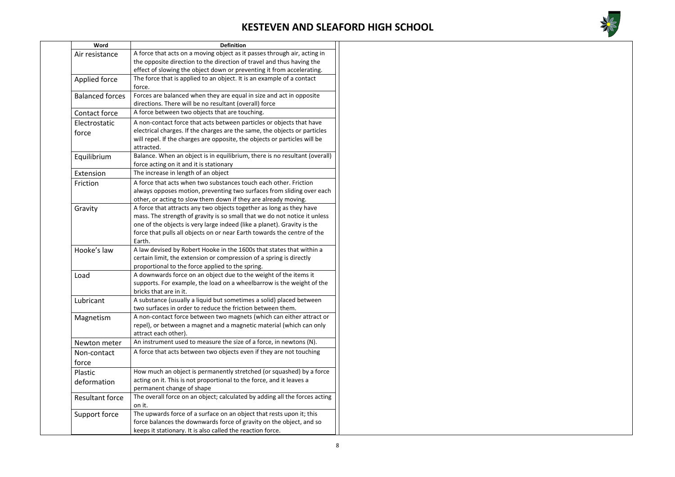

| Word                   | <b>Definition</b>                                                                                                                                                    |  |  |
|------------------------|----------------------------------------------------------------------------------------------------------------------------------------------------------------------|--|--|
| Air resistance         | A force that acts on a moving object as it passes through air, acting in                                                                                             |  |  |
|                        | the opposite direction to the direction of travel and thus having the                                                                                                |  |  |
|                        | effect of slowing the object down or preventing it from accelerating.                                                                                                |  |  |
| Applied force          | The force that is applied to an object. It is an example of a contact<br>force.                                                                                      |  |  |
| <b>Balanced forces</b> | Forces are balanced when they are equal in size and act in opposite                                                                                                  |  |  |
|                        | directions. There will be no resultant (overall) force                                                                                                               |  |  |
| Contact force          | A force between two objects that are touching.                                                                                                                       |  |  |
| Electrostatic          | A non-contact force that acts between particles or objects that have                                                                                                 |  |  |
| force                  | electrical charges. If the charges are the same, the objects or particles<br>will repel. If the charges are opposite, the objects or particles will be<br>attracted. |  |  |
| Equilibrium            | Balance. When an object is in equilibrium, there is no resultant (overall)                                                                                           |  |  |
|                        | force acting on it and it is stationary                                                                                                                              |  |  |
| Extension              | The increase in length of an object                                                                                                                                  |  |  |
| Friction               | A force that acts when two substances touch each other. Friction                                                                                                     |  |  |
|                        | always opposes motion, preventing two surfaces from sliding over each                                                                                                |  |  |
|                        | other, or acting to slow them down if they are already moving.                                                                                                       |  |  |
| Gravity                | A force that attracts any two objects together as long as they have                                                                                                  |  |  |
|                        | mass. The strength of gravity is so small that we do not notice it unless                                                                                            |  |  |
|                        | one of the objects is very large indeed (like a planet). Gravity is the                                                                                              |  |  |
|                        | force that pulls all objects on or near Earth towards the centre of the                                                                                              |  |  |
|                        | Earth.                                                                                                                                                               |  |  |
| Hooke's law            | A law devised by Robert Hooke in the 1600s that states that within a                                                                                                 |  |  |
|                        | certain limit, the extension or compression of a spring is directly                                                                                                  |  |  |
|                        | proportional to the force applied to the spring.                                                                                                                     |  |  |
| Load                   | A downwards force on an object due to the weight of the items it                                                                                                     |  |  |
|                        | supports. For example, the load on a wheelbarrow is the weight of the<br>bricks that are in it.                                                                      |  |  |
| Lubricant              | A substance (usually a liquid but sometimes a solid) placed between                                                                                                  |  |  |
|                        | two surfaces in order to reduce the friction between them.                                                                                                           |  |  |
| Magnetism              | A non-contact force between two magnets (which can either attract or                                                                                                 |  |  |
|                        | repel), or between a magnet and a magnetic material (which can only                                                                                                  |  |  |
|                        | attract each other).                                                                                                                                                 |  |  |
| Newton meter           | An instrument used to measure the size of a force, in newtons (N).                                                                                                   |  |  |
| Non-contact            | A force that acts between two objects even if they are not touching                                                                                                  |  |  |
| force                  |                                                                                                                                                                      |  |  |
|                        | How much an object is permanently stretched (or squashed) by a force                                                                                                 |  |  |
| Plastic                | acting on it. This is not proportional to the force, and it leaves a                                                                                                 |  |  |
| deformation            | permanent change of shape                                                                                                                                            |  |  |
| <b>Resultant force</b> | The overall force on an object; calculated by adding all the forces acting                                                                                           |  |  |
|                        | on it.                                                                                                                                                               |  |  |
| Support force          | The upwards force of a surface on an object that rests upon it; this                                                                                                 |  |  |
|                        | force balances the downwards force of gravity on the object, and so                                                                                                  |  |  |
|                        | keeps it stationary. It is also called the reaction force.                                                                                                           |  |  |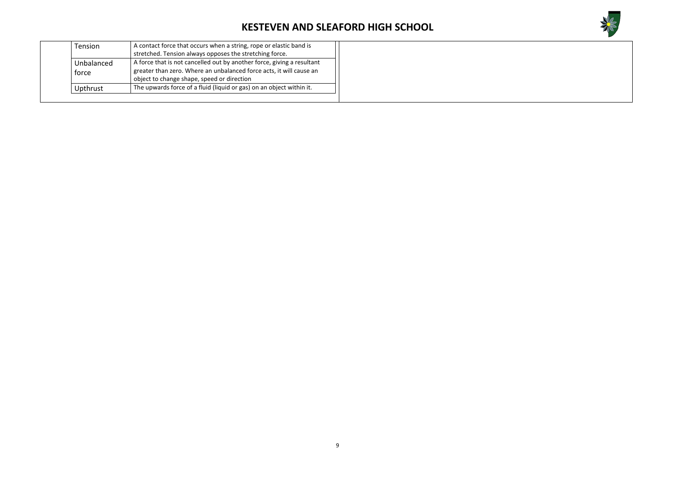

|                     | <b>Tension</b> | A contact force that occurs when a string, rope or elastic band is     |
|---------------------|----------------|------------------------------------------------------------------------|
| Unbalanced<br>force |                | stretched. Tension always opposes the stretching force.                |
|                     |                | A force that is not cancelled out by another force, giving a resultant |
|                     |                | greater than zero. Where an unbalanced force acts, it will cause an    |
|                     |                | object to change shape, speed or direction                             |
|                     | Upthrust       | The upwards force of a fluid (liquid or gas) on an object within it.   |
|                     |                |                                                                        |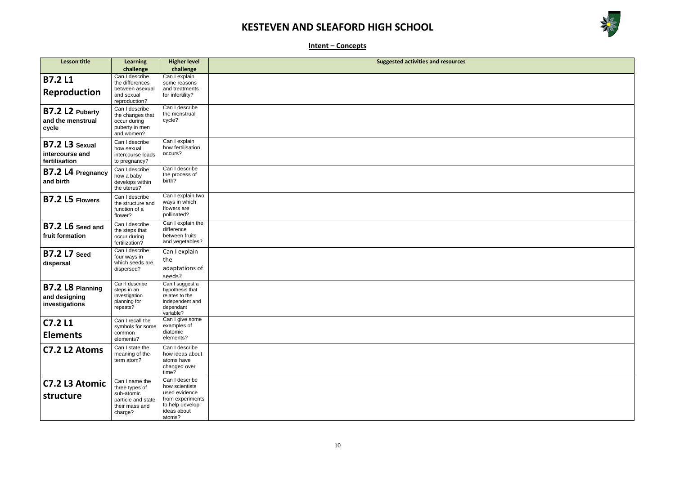

| <u> 1980 - An Dùbhlachd an Dùbhlachd ann an Dùbhlachd ann an Dùbhlachd ann an Dùbhlachd ann an Dùbhlachd ann an D</u> |  |  |
|-----------------------------------------------------------------------------------------------------------------------|--|--|
|                                                                                                                       |  |  |
|                                                                                                                       |  |  |
| <u> 1989 - Johann Barn, amerikansk politiker (d. 1989)</u>                                                            |  |  |
|                                                                                                                       |  |  |
|                                                                                                                       |  |  |
|                                                                                                                       |  |  |
|                                                                                                                       |  |  |
|                                                                                                                       |  |  |
|                                                                                                                       |  |  |
|                                                                                                                       |  |  |
|                                                                                                                       |  |  |
|                                                                                                                       |  |  |
|                                                                                                                       |  |  |
|                                                                                                                       |  |  |
|                                                                                                                       |  |  |
|                                                                                                                       |  |  |
|                                                                                                                       |  |  |
|                                                                                                                       |  |  |
|                                                                                                                       |  |  |
|                                                                                                                       |  |  |
|                                                                                                                       |  |  |
|                                                                                                                       |  |  |
|                                                                                                                       |  |  |

**Intent – Concepts**

| <b>Lesson title</b>                                  | <b>Learning</b>                                                                                   | <b>Higher level</b>                                                                                               | <b>Suggested activities and resources</b> |
|------------------------------------------------------|---------------------------------------------------------------------------------------------------|-------------------------------------------------------------------------------------------------------------------|-------------------------------------------|
|                                                      | challenge                                                                                         | challenge                                                                                                         |                                           |
| <b>B7.2L1</b><br><b>Reproduction</b>                 | Can I describe<br>the differences<br>between asexual<br>and sexual<br>reproduction?               | Can I explain<br>some reasons<br>and treatments<br>for infertility?                                               |                                           |
| <b>B7.2 L2 Puberty</b><br>and the menstrual<br>cycle | Can I describe<br>the changes that<br>occur during<br>puberty in men<br>and women?                | Can I describe<br>the menstrual<br>cycle?                                                                         |                                           |
| B7.2 L3 Sexual<br>intercourse and<br>fertilisation   | Can I describe<br>how sexual<br>intercourse leads<br>to pregnancy?                                | Can I explain<br>how fertilisation<br>occurs?                                                                     |                                           |
| B7.2 L4 Pregnancy<br>and birth                       | Can I describe<br>how a baby<br>develops within<br>the uterus?                                    | Can I describe<br>the process of<br>birth?                                                                        |                                           |
| <b>B7.2 L5 Flowers</b>                               | Can I describe<br>the structure and<br>function of a<br>flower?                                   | Can I explain two<br>ways in which<br>flowers are<br>pollinated?                                                  |                                           |
| <b>B7.2 L6</b> Seed and<br>fruit formation           | Can I describe<br>the steps that<br>occur during<br>fertilization?                                | Can I explain the<br>difference<br>between fruits<br>and vegetables?                                              |                                           |
| <b>B7.2 L7</b> Seed<br>dispersal                     | Can I describe<br>four ways in<br>which seeds are<br>dispersed?                                   | Can I explain<br>the<br>adaptations of<br>seeds?                                                                  |                                           |
| B7.2 L8 Planning<br>and designing<br>investigations  | Can I describe<br>steps in an<br>investigation<br>planning for<br>repeats?                        | Can I suggest a<br>hypothesis that<br>relates to the<br>independent and<br>dependant<br>variable?                 |                                           |
| <b>C7.2 L1</b><br><b>Elements</b>                    | Can I recall the<br>symbols for some<br>common<br>elements?                                       | Can I give some<br>examples of<br>diatomic<br>elements?                                                           |                                           |
| C7.2 L2 Atoms                                        | Can I state the<br>meaning of the<br>term atom?                                                   | Can I describe<br>how ideas about<br>atoms have<br>changed over<br>time?                                          |                                           |
| C7.2 L3 Atomic<br>structure                          | Can I name the<br>three types of<br>sub-atomic<br>particle and state<br>their mass and<br>charge? | Can I describe<br>how scientists<br>used evidence<br>from experiments<br>to help develop<br>ideas about<br>atoms? |                                           |